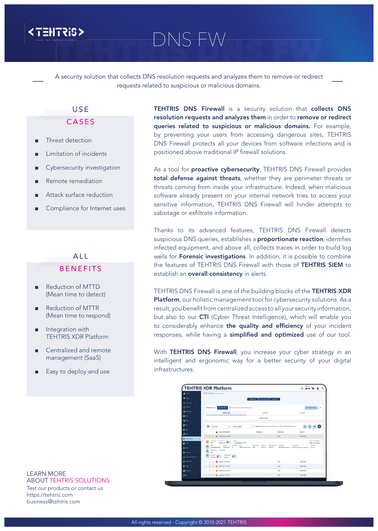

# TEHTRIS DNS FW DNS FW

A security solution that collects DNS resolution requests and analyzes them to remove or redirect requests related to suspicious or malicious domains.

### **UNITER** CASES

- Threat detection
- Limitation of incidents
- Cybersecurity investigation
- Remote remediation
- Attack surface reduction
- Compliance for Internet uses

#### *Mund*el BENEFITS

- Reduction of MTTD (Mean time to detect)
- Reduction of MTTR (Mean time to respond)
- Integration with TEHTRIS XDR Platform
- Centralized and remote management (SaaS)
- Easy to deploy and use

TEHTRIS DNS Firewall is a security solution that collects DNS resolution requests and analyzes them in order to remove or redirect queries related to suspicious or malicious domains. For example, by preventing your users from accessing dangerous sites, TEHTRIS DNS Firewall protects all your devices from software infections and is positioned above traditional IP firewall solutions.

As a tool for **proactive cybersecurity**, TEHTRIS DNS Firewall provides total defense against threats, whether they are perimeter threats or threats coming from inside your infrastructure. Indeed, when malicious software already present on your internal network tries to access your sensitive information, TEHTRIS DNS Firewall will hinder attempts to sabotage or exfiltrate information.

Thanks to its advanced features, TEHTRIS DNS Firewall detects suspicious DNS queries, establishes a **proportionate reaction**, identifies infected equipment, and above all, collects traces in order to build log wells for **Forensic investigations**. In addition, it is possible to combine the features of TEHTRIS DNS Firewall with those of TEHTRIS SIEM to establish an **overall consistency** in alerts.

TEHTRIS DNS Firewall is one of the building blocks of the TEHTRIS XDR Platform, our holistic management tool for cybersecurity solutions. As a result, you benefit from centralized access to all your security information, but also to our CTI (Cyber Threat Intelligence), which will enable you to considerably enhance the quality and efficiency of your incident responses, while having a simplified and optimized use of our tool.

With TEHTRIS DNS Firewall, you increase your cyber strategy in an intelligent and ergonomic way for a better security of your digital infrastructures.

| <b>TEHTRIS XDR Platform</b> |                                                              |                                                        |                                             |                                                                             | $^{\circ}$<br>o<br>又の                                                   | (4.752)<br>π<br>$\oplus$ |  |
|-----------------------------|--------------------------------------------------------------|--------------------------------------------------------|---------------------------------------------|-----------------------------------------------------------------------------|-------------------------------------------------------------------------|--------------------------|--|
| $\pm$ Advis                 | DNS Firewall accerts & Events                                |                                                        |                                             |                                                                             |                                                                         |                          |  |
| <b>CD</b> Hoalth            |                                                              |                                                        | Alerts & Events<br>Dashboard                | <b>Rew Date</b>                                                             |                                                                         |                          |  |
| A Heartbeats                |                                                              |                                                        |                                             |                                                                             |                                                                         |                          |  |
| $\Omega$ function           | Filters List ><br>+ New filter                               | 63 You can start from an existing fifter and modify it |                                             |                                                                             | Cf Refresh Shers                                                        | $\wedge$                 |  |
| <b>材</b> Moderator          | PREDEFINED<br>CUSTOM                                         |                                                        |                                             | SHARED                                                                      |                                                                         |                          |  |
| ♦                           | No filter found.                                             |                                                        |                                             |                                                                             |                                                                         |                          |  |
| 国SEM                        |                                                              |                                                        |                                             |                                                                             |                                                                         |                          |  |
| $\mathbf{Q}$ or             | $\blacksquare$<br>25 results<br>$\checkmark$                 | No auto refresh                                        | $\checkmark$                                | Results from 2020-09-25 11:23:16 CMT-C2:00 to 2020-09-23 16:40:58 CMT-02:00 | ø<br>H.<br>×.                                                           | ſы                       |  |
| @ EDR                       | Date - GMT+02:00<br>A                                        |                                                        | Appliance                                   | Event type                                                                  | Event ID                                                                |                          |  |
| <b>CP</b> MTD               | $\Box$<br>6 2033-09-23 16:40:58<br>$\sim$                    |                                                        |                                             | DNS                                                                         | 1595614770                                                              |                          |  |
| <b>A</b> DNS Firewall       | Event ID<br>Event type                                       | KMD.                                                   |                                             |                                                                             | Date - GRET+02.00                                                       |                          |  |
| <b>A</b> ZINA               | $\ddot{\Phi}$<br>1595614770<br>DNS                           | 31118209000001                                         |                                             |                                                                             | 2020-09-23 16:40-58                                                     |                          |  |
| @ NH                        | Event ID<br>KMD<br>o<br>311182090000001<br>1595614770        | Severity<br>Date<br>2008-09-23 14:40:58                | Event type<br>Source IP<br>DNS<br>127,0.0.1 | Destination IP<br>Event time<br>127.0.0.1<br>2020-09-23 14:40:57            | <b>Domain</b><br>Description<br>Blacklated domain requested<br>test.com |                          |  |
| <b>O</b> Hunting            | Original ID<br>Demain type<br>в<br>local                     |                                                        |                                             |                                                                             |                                                                         |                          |  |
| Deceptive Response          | <b>Destination IP</b><br>Source IP<br>127,0.0.1<br>127,0.0.1 | $\left($                                               |                                             |                                                                             |                                                                         |                          |  |
| & MTA/NES                   | 2020-09-23 16:29:12<br>Ω<br>$\mathbf{q}$                     |                                                        |                                             | DNS                                                                         | 1595614322                                                              |                          |  |
| B sone                      | 2020-09-23 16:25:21<br>$\Box$<br>$\alpha$<br>٠               |                                                        |                                             | nws                                                                         | 1595614160                                                              |                          |  |
|                             |                                                              |                                                        |                                             |                                                                             | 1595603786                                                              |                          |  |
| <b>E</b> Analysia           | ۵<br>2020-09-23 12:11:52<br>$\sim$                           |                                                        |                                             | DNS                                                                         |                                                                         |                          |  |

LEARN MORE ABOUT TEHTRIS SOLUTIONS Test our products or contact us https://tehtris.com

business@tehtris.com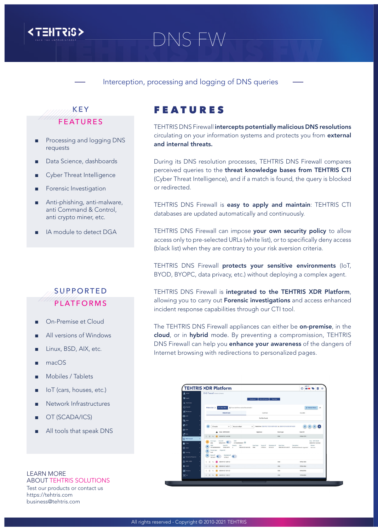

## <TEHTRIS><br>DNS FW

Interception, processing and logging of DNS queries

FEATURES

and internal threats.

or redirected.

#### *MARRI*KEY FEATURES

- Processing and logging DNS requests
- Data Science, dashboards
- Cyber Threat Intelligence
- Forensic Investigation
- Anti-phishing, anti-malware, anti Command & Control, anti crypto miner, etc.
- IA module to detect DGA

### SUPPORTED **PLATFORMS**

- On-Premise et Cloud
- All versions of Windows
- Linux, BSD, AIX, etc.
- macOS
- Mobiles / Tablets
- loT (cars, houses, etc.)
- Network Infrastructures
- OT (SCADA/ICS)
- All tools that speak DNS

#### LEARN MORE ABOUT TEHTRIS SOLUTIONS Test our products or contact us https://tehtris.com

business@tehtris.com

incident response capabilities through our CTI tool. The TEHTRIS DNS Firewall appliances can either be on-premise, in the cloud, or in hybrid mode. By preventing a compromission, TEHTRIS DNS Firewall can help you enhance your awareness of the dangers of

Internet browsing with redirections to personalized pages.



TEHTRIS DNS Firewall intercepts potentially malicious DNS resolutions circulating on your information systems and protects you from external

During its DNS resolution processes, TEHTRIS DNS Firewall compares perceived queries to the threat knowledge bases from TEHTRIS CTI (Cyber Threat Intelligence), and if a match is found, the query is blocked

TEHTRIS DNS Firewall is easy to apply and maintain: TEHTRIS CTI

TEHTRIS DNS Firewall can impose your own security policy to allow access only to pre-selected URLs (white list), or to specifically deny access

TEHTRIS DNS Firewall protects your sensitive environments (IoT, BYOD, BYOPC, data privacy, etc.) without deploying a complex agent.

TEHTRIS DNS Firewall is integrated to the TEHTRIS XDR Platform, allowing you to carry out **Forensic investigations** and access enhanced

databases are updated automatically and continuously.

(black list) when they are contrary to your risk aversion criteria.